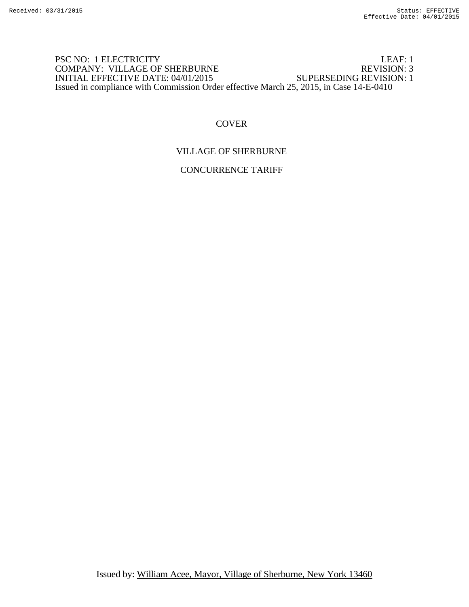## PSC NO: 1 ELECTRICITY<br>
COMPANY: VILLAGE OF SHERBURNE<br>
REVISION: 3 COMPANY: VILLAGE OF SHERBURNE REVISION: 3<br>INITIAL EFFECTIVE DATE: 04/01/2015 SUPERSEDING REVISION: 1 INITIAL EFFECTIVE DATE: 04/01/2015 Issued in compliance with Commission Order effective March 25, 2015, in Case 14-E-0410

## **COVER**

## VILLAGE OF SHERBURNE

CONCURRENCE TARIFF

Issued by: William Acee, Mayor, Village of Sherburne, New York 13460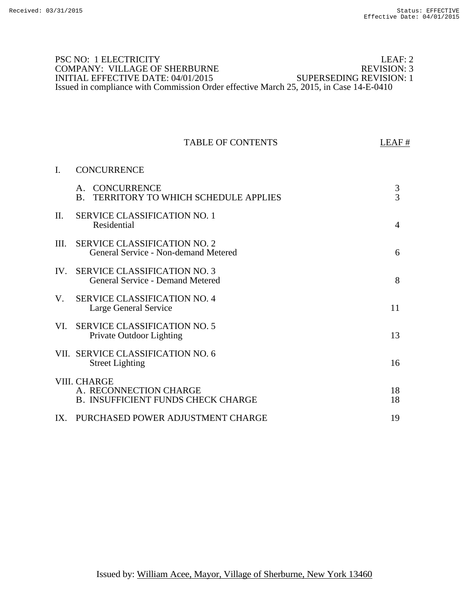## PSC NO: 1 ELECTRICITY LEAF: 2<br>
COMPANY: VILLAGE OF SHERBURNE REVISION: 3 COMPANY: VILLAGE OF SHERBURNE REVISION: 3<br>INITIAL EFFECTIVE DATE: 04/01/2015 SUPERSEDING REVISION: 1 INITIAL EFFECTIVE DATE: 04/01/2015 Issued in compliance with Commission Order effective March 25, 2015, in Case 14-E-0410

#### TABLE OF CONTENTS LEAF #

# I. CONCURRENCE

|          | CONCURRENCE<br>$A_{-}$<br><b>TERRITORY TO WHICH SCHEDULE APPLIES</b><br>$\bf{B}$    | $\frac{3}{3}$  |
|----------|-------------------------------------------------------------------------------------|----------------|
| $\Pi$ .  | <b>SERVICE CLASSIFICATION NO. 1</b><br>Residential                                  | $\overline{4}$ |
| Ш.       | <b>SERVICE CLASSIFICATION NO. 2</b><br>General Service - Non-demand Metered         | 6              |
| $IV_{-}$ | <b>SERVICE CLASSIFICATION NO. 3</b><br>General Service - Demand Metered             | 8              |
| V.       | <b>SERVICE CLASSIFICATION NO. 4</b><br>Large General Service                        | 11             |
| VI.      | <b>SERVICE CLASSIFICATION NO. 5</b><br>Private Outdoor Lighting                     | 13             |
|          | VII. SERVICE CLASSIFICATION NO. 6<br><b>Street Lighting</b>                         | 16             |
|          | VIII. CHARGE<br>A. RECONNECTION CHARGE<br><b>B. INSUFFICIENT FUNDS CHECK CHARGE</b> | 18<br>18       |
| $IX_{-}$ | PURCHASED POWER ADJUSTMENT CHARGE                                                   | 19             |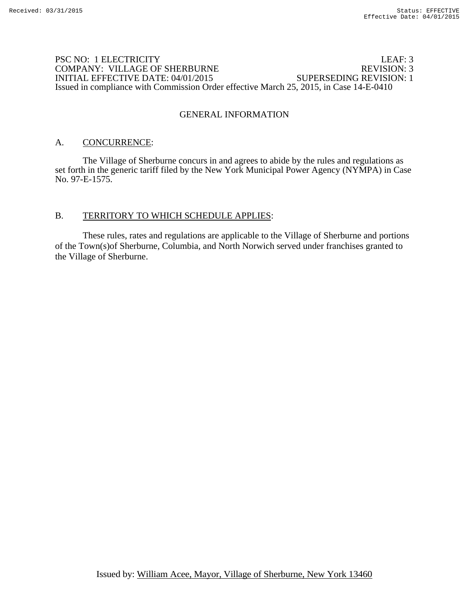### PSC NO: 1 ELECTRICITY<br>
COMPANY: VILLAGE OF SHERBURNE<br>
REVISION: 3 COMPANY: VILLAGE OF SHERBURNE REVISION: 3<br>INITIAL EFFECTIVE DATE: 04/01/2015 SUPERSEDING REVISION: 1 INITIAL EFFECTIVE DATE: 04/01/2015 Issued in compliance with Commission Order effective March 25, 2015, in Case 14-E-0410

## GENERAL INFORMATION

## A. CONCURRENCE:

 The Village of Sherburne concurs in and agrees to abide by the rules and regulations as set forth in the generic tariff filed by the New York Municipal Power Agency (NYMPA) in Case No. 97-E-1575.

### B. TERRITORY TO WHICH SCHEDULE APPLIES:

 These rules, rates and regulations are applicable to the Village of Sherburne and portions of the Town(s)of Sherburne, Columbia, and North Norwich served under franchises granted to the Village of Sherburne.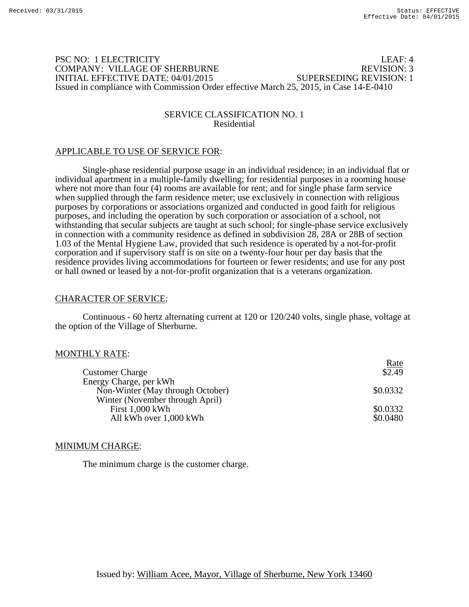## PSC NO: 1 ELECTRICITY LEAF: 4 COMPANY: VILLAGE OF SHERBURNE REVISION: 3 INITIAL EFFECTIVE DATE: 04/01/2015 SUPERSEDING REVISION: 1 Issued in compliance with Commission Order effective March 25, 2015, in Case 14-E-0410

### SERVICE CLASSIFICATION NO. 1 Residential

## APPLICABLE TO USE OF SERVICE FOR:

Single-phase residential purpose usage in an individual residence; in an individual flat or individual apartment in a multiple-family dwelling; for residential purposes in a rooming house where not more than four (4) rooms are available for rent; and for single phase farm service when supplied through the farm residence meter; use exclusively in connection with religious purposes by corporations or associations organized and conducted in good faith for religious purposes, and including the operation by such corporation or association of a school, not withstanding that secular subjects are taught at such school; for single-phase service exclusively in connection with a community residence as defined in subdivision 28, 28A or 28B of section 1.03 of the Mental Hygiene Law, provided that such residence is operated by a not-for-profit corporation and if supervisory staff is on site on a twenty-four hour per day basis that the residence provides living accommodations for fourteen or fewer residents; and use for any post or hall owned or leased by a not-for-profit organization that is a veterans organization.

#### CHARACTER OF SERVICE:

Continuous - 60 hertz alternating current at 120 or 120/240 volts, single phase, voltage at the option of the Village of Sherburne.

## MONTHLY RATE:

|                                  | <u>Rate</u>    |
|----------------------------------|----------------|
| <b>Customer Charge</b>           | $\sqrt{$2.49}$ |
| Energy Charge, per kWh           |                |
| Non-Winter (May through October) | \$0.0332       |
| Winter (November through April)  |                |
| First 1,000 kWh                  | \$0.0332       |
| All kWh over 1,000 kWh           | \$0.0480       |
|                                  |                |

#### MINIMUM CHARGE:

The minimum charge is the customer charge.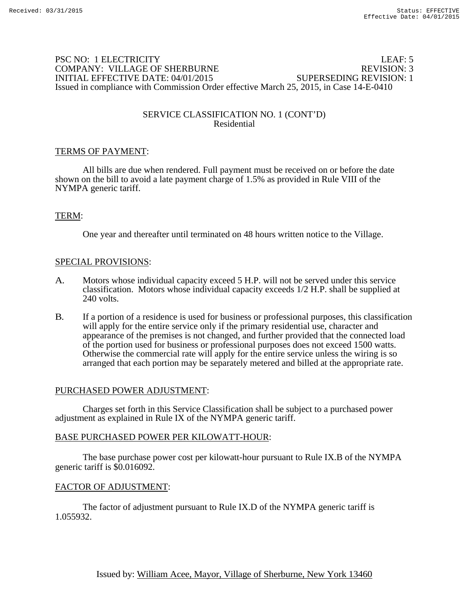## PSC NO: 1 ELECTRICITY LEAF: 5 COMPANY: VILLAGE OF SHERBURNE REVISION: 3 INITIAL EFFECTIVE DATE: 04/01/2015 SUPERSEDING REVISION: 1 Issued in compliance with Commission Order effective March 25, 2015, in Case 14-E-0410

## SERVICE CLASSIFICATION NO. 1 (CONT'D) Residential

## TERMS OF PAYMENT:

 All bills are due when rendered. Full payment must be received on or before the date shown on the bill to avoid a late payment charge of 1.5% as provided in Rule VIII of the NYMPA generic tariff.

### TERM:

One year and thereafter until terminated on 48 hours written notice to the Village.

#### SPECIAL PROVISIONS:

- A. Motors whose individual capacity exceed 5 H.P. will not be served under this service classification. Motors whose individual capacity exceeds 1/2 H.P. shall be supplied at 240 volts.
- B. If a portion of a residence is used for business or professional purposes, this classification will apply for the entire service only if the primary residential use, character and appearance of the premises is not changed, and further provided that the connected load of the portion used for business or professional purposes does not exceed 1500 watts. Otherwise the commercial rate will apply for the entire service unless the wiring is so arranged that each portion may be separately metered and billed at the appropriate rate.

#### PURCHASED POWER ADJUSTMENT:

Charges set forth in this Service Classification shall be subject to a purchased power adjustment as explained in Rule IX of the NYMPA generic tariff.

#### BASE PURCHASED POWER PER KILOWATT-HOUR:

 The base purchase power cost per kilowatt-hour pursuant to Rule IX.B of the NYMPA generic tariff is \$0.016092.

#### FACTOR OF ADJUSTMENT: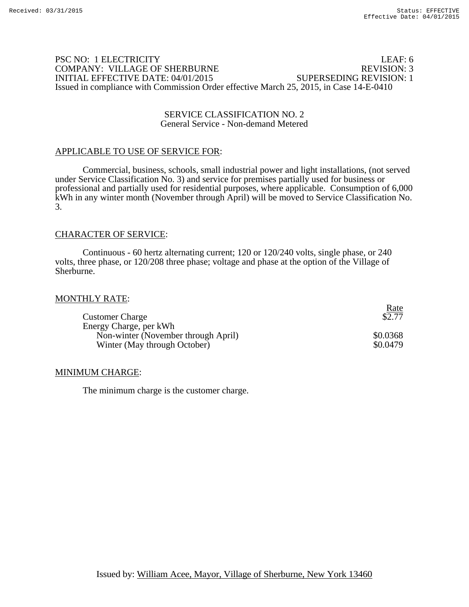## PSC NO: 1 ELECTRICITY LEAF: 6 COMPANY: VILLAGE OF SHERBURNE INITIAL EFFECTIVE DATE: 04/01/2015 SUPERSEDING REVISION: 1 Issued in compliance with Commission Order effective March 25, 2015, in Case 14-E-0410

#### SERVICE CLASSIFICATION NO. 2 General Service - Non-demand Metered

### APPLICABLE TO USE OF SERVICE FOR:

Commercial, business, schools, small industrial power and light installations, (not served under Service Classification No. 3) and service for premises partially used for business or professional and partially used for residential purposes, where applicable. Consumption of 6,000 kWh in any winter month (November through April) will be moved to Service Classification No. 3.

#### CHARACTER OF SERVICE:

Continuous - 60 hertz alternating current; 120 or 120/240 volts, single phase, or 240 volts, three phase, or 120/208 three phase; voltage and phase at the option of the Village of Sherburne.

#### MONTHLY RATE:

| <b>Customer Charge</b>              | <u>Rate</u><br>\$2.77 |
|-------------------------------------|-----------------------|
| Energy Charge, per kWh              |                       |
| Non-winter (November through April) | \$0.0368              |
| Winter (May through October)        | \$0.0479              |

#### MINIMUM CHARGE:

The minimum charge is the customer charge.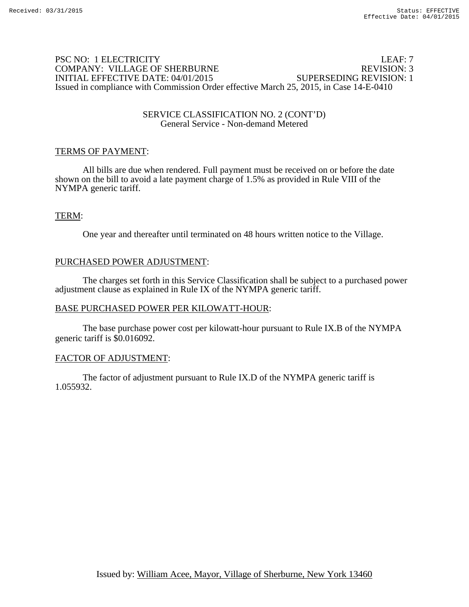## PSC NO: 1 ELECTRICITY LEAF: 7 COMPANY: VILLAGE OF SHERBURNE REVISION: 3 INITIAL EFFECTIVE DATE: 04/01/2015 SUPERSEDING REVISION: 1 Issued in compliance with Commission Order effective March 25, 2015, in Case 14-E-0410

#### SERVICE CLASSIFICATION NO. 2 (CONT'D) General Service - Non-demand Metered

## TERMS OF PAYMENT:

 All bills are due when rendered. Full payment must be received on or before the date shown on the bill to avoid a late payment charge of 1.5% as provided in Rule VIII of the NYMPA generic tariff.

## TERM:

One year and thereafter until terminated on 48 hours written notice to the Village.

#### PURCHASED POWER ADJUSTMENT:

The charges set forth in this Service Classification shall be subject to a purchased power adjustment clause as explained in Rule IX of the NYMPA generic tariff.

#### BASE PURCHASED POWER PER KILOWATT-HOUR:

 The base purchase power cost per kilowatt-hour pursuant to Rule IX.B of the NYMPA generic tariff is \$0.016092.

#### FACTOR OF ADJUSTMENT: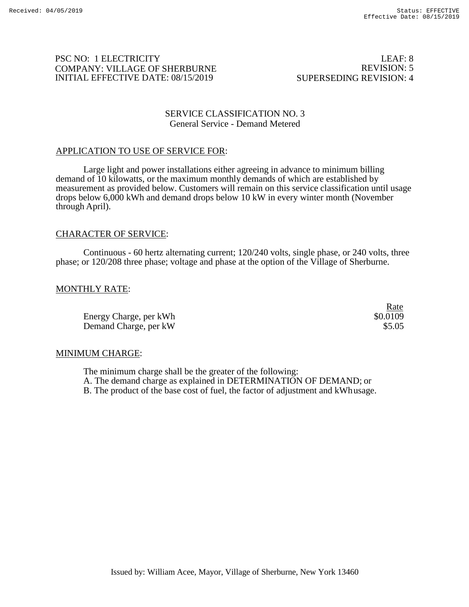Rate

## PSC NO: 1 ELECTRICITY COMPANY: VILLAGE OF SHERBURNE INITIAL EFFECTIVE DATE: 08/15/2019

LEAF: 8 REVISION: 5 SUPERSEDING REVISION: 4

#### SERVICE CLASSIFICATION NO. 3 General Service - Demand Metered

## APPLICATION TO USE OF SERVICE FOR:

Large light and power installations either agreeing in advance to minimum billing demand of 10 kilowatts, or the maximum monthly demands of which are established by measurement as provided below. Customers will remain on this service classification until usage drops below 6,000 kWh and demand drops below 10 kW in every winter month (November through April).

### CHARACTER OF SERVICE:

Continuous - 60 hertz alternating current; 120/240 volts, single phase, or 240 volts, three phase; or 120/208 three phase; voltage and phase at the option of the Village of Sherburne.

### MONTHLY RATE:

Energy Charge, per kWh  $\text{S}0.0109$ Demand Charge, per kW  $$5.05$ 

#### MINIMUM CHARGE:

The minimum charge shall be the greater of the following: A. The demand charge as explained in DETERMINATION OF DEMAND; or B. The product of the base cost of fuel, the factor of adjustment and kWhusage.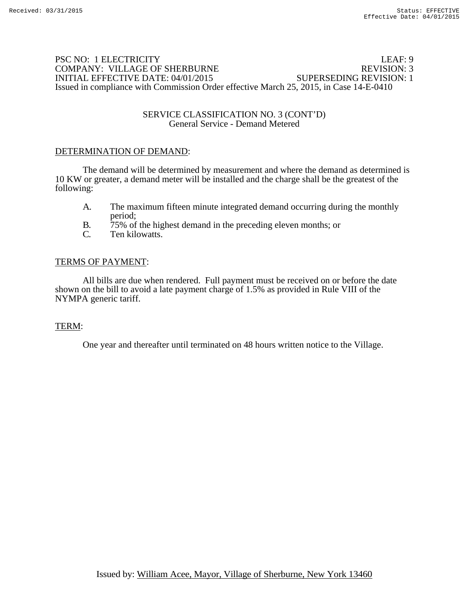## PSC NO: 1 ELECTRICITY<br>
COMPANY: VILLAGE OF SHERBURNE<br>
REVISION: 3 COMPANY: VILLAGE OF SHERBURNE INITIAL EFFECTIVE DATE: 04/01/2015 SUPERSEDING REVISION: 1 Issued in compliance with Commission Order effective March 25, 2015, in Case 14-E-0410

#### SERVICE CLASSIFICATION NO. 3 (CONT'D) General Service - Demand Metered

#### DETERMINATION OF DEMAND:

The demand will be determined by measurement and where the demand as determined is 10 KW or greater, a demand meter will be installed and the charge shall be the greatest of the following:

- A. The maximum fifteen minute integrated demand occurring during the monthly period;
- B. 75% of the highest demand in the preceding eleven months; or C. Ten kilowatts.
- Ten kilowatts.

### TERMS OF PAYMENT:

 All bills are due when rendered. Full payment must be received on or before the date shown on the bill to avoid a late payment charge of 1.5% as provided in Rule VIII of the NYMPA generic tariff.

#### TERM:

One year and thereafter until terminated on 48 hours written notice to the Village.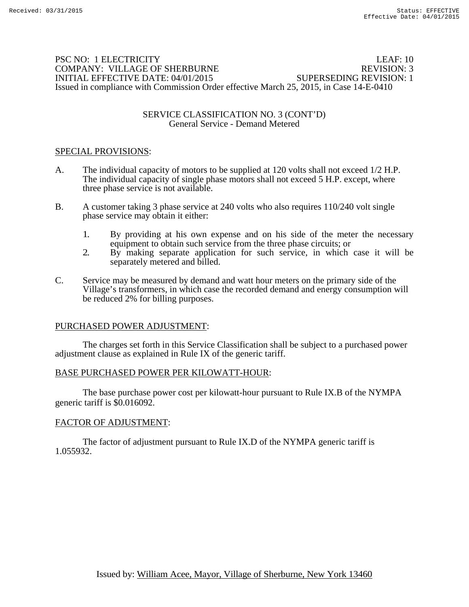## PSC NO: 1 ELECTRICITY LEAF: 10 COMPANY: VILLAGE OF SHERBURNE REVISION: 3 INITIAL EFFECTIVE DATE: 04/01/2015 SUPERSEDING REVISION: 1 Issued in compliance with Commission Order effective March 25, 2015, in Case 14-E-0410

### SERVICE CLASSIFICATION NO. 3 (CONT'D) General Service - Demand Metered

## SPECIAL PROVISIONS:

- A. The individual capacity of motors to be supplied at 120 volts shall not exceed 1/2 H.P. The individual capacity of single phase motors shall not exceed 5 H.P. except, where three phase service is not available.
- B. A customer taking 3 phase service at 240 volts who also requires 110/240 volt single phase service may obtain it either:
	- 1. By providing at his own expense and on his side of the meter the necessary equipment to obtain such service from the three phase circuits; or
	- 2. By making separate application for such service, in which case it will be separately metered and billed.
- C. Service may be measured by demand and watt hour meters on the primary side of the Village's transformers, in which case the recorded demand and energy consumption will be reduced 2% for billing purposes.

## PURCHASED POWER ADJUSTMENT:

The charges set forth in this Service Classification shall be subject to a purchased power adjustment clause as explained in Rule IX of the generic tariff.

## BASE PURCHASED POWER PER KILOWATT-HOUR:

 The base purchase power cost per kilowatt-hour pursuant to Rule IX.B of the NYMPA generic tariff is \$0.016092.

## FACTOR OF ADJUSTMENT: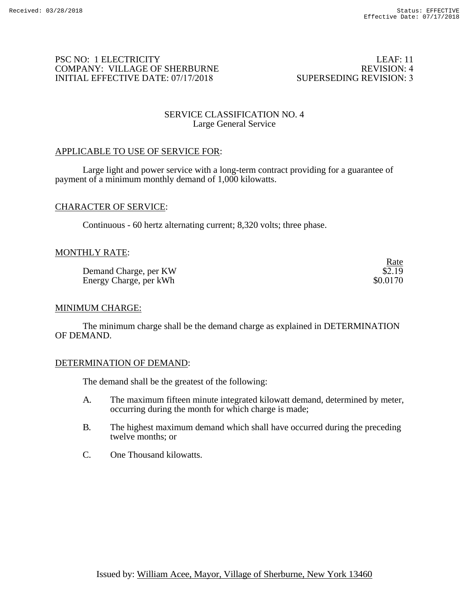Rate

## PSC NO: 1 ELECTRICITY COMPANY: VILLAGE OF SHERBURNE INITIAL EFFECTIVE DATE: 07/17/2018

LEAF: 11 REVISION: 4 SUPERSEDING REVISION: 3

## SERVICE CLASSIFICATION NO. 4 Large General Service

## APPLICABLE TO USE OF SERVICE FOR:

Large light and power service with a long-term contract providing for a guarantee of payment of a minimum monthly demand of 1,000 kilowatts.

### CHARACTER OF SERVICE:

Continuous - 60 hertz alternating current; 8,320 volts; three phase.

### MONTHLY RATE:

Demand Charge, per KW \$2.19<br>
Energy Charge, per kWh \$0.0170 Energy Charge, per kWh

#### MINIMUM CHARGE:

The minimum charge shall be the demand charge as explained in DETERMINATION OF DEMAND.

#### DETERMINATION OF DEMAND:

The demand shall be the greatest of the following:

- A. The maximum fifteen minute integrated kilowatt demand, determined by meter, occurring during the month for which charge is made;
- B. The highest maximum demand which shall have occurred during the preceding twelve months; or
- C. One Thousand kilowatts.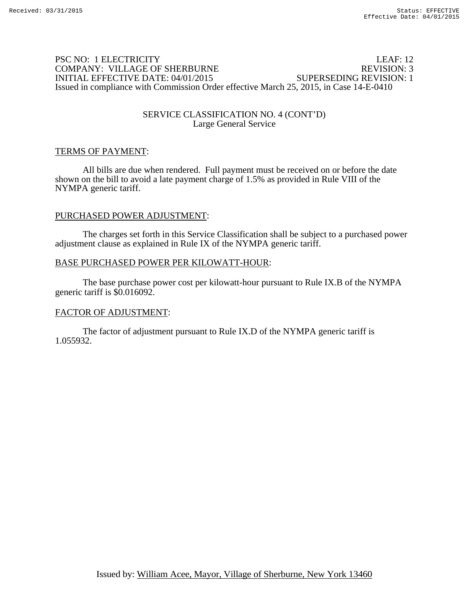## PSC NO: 1 ELECTRICITY LEAF: 12 COMPANY: VILLAGE OF SHERBURNE REVISION: 3 INITIAL EFFECTIVE DATE: 04/01/2015 SUPERSEDING REVISION: 1 Issued in compliance with Commission Order effective March 25, 2015, in Case 14-E-0410

### SERVICE CLASSIFICATION NO. 4 (CONT'D) Large General Service

## TERMS OF PAYMENT:

 All bills are due when rendered. Full payment must be received on or before the date shown on the bill to avoid a late payment charge of 1.5% as provided in Rule VIII of the NYMPA generic tariff.

### PURCHASED POWER ADJUSTMENT:

The charges set forth in this Service Classification shall be subject to a purchased power adjustment clause as explained in Rule IX of the NYMPA generic tariff.

#### BASE PURCHASED POWER PER KILOWATT-HOUR:

 The base purchase power cost per kilowatt-hour pursuant to Rule IX.B of the NYMPA generic tariff is \$0.016092.

## FACTOR OF ADJUSTMENT: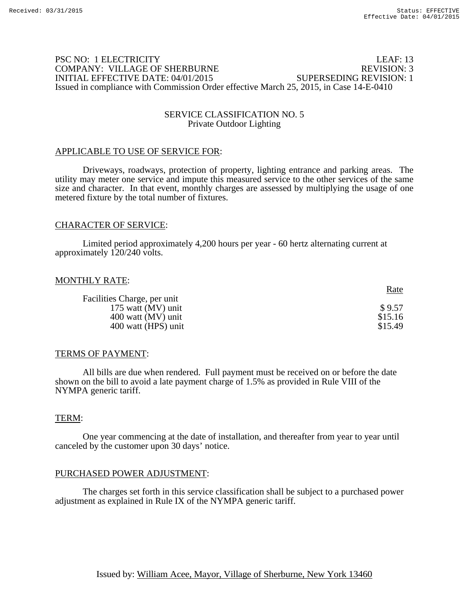## PSC NO: 1 ELECTRICITY LEAF: 13 COMPANY: VILLAGE OF SHERBURNE REVISION: 3 INITIAL EFFECTIVE DATE: 04/01/2015 SUPERSEDING REVISION: 1 Issued in compliance with Commission Order effective March 25, 2015, in Case 14-E-0410

#### SERVICE CLASSIFICATION NO. 5 Private Outdoor Lighting

#### APPLICABLE TO USE OF SERVICE FOR:

Driveways, roadways, protection of property, lighting entrance and parking areas. The utility may meter one service and impute this measured service to the other services of the same size and character. In that event, monthly charges are assessed by multiplying the usage of one metered fixture by the total number of fixtures.

### CHARACTER OF SERVICE:

Limited period approximately 4,200 hours per year - 60 hertz alternating current at approximately 120/240 volts.

#### MONTHLY RATE:

|                             | <u>Rate</u> |
|-----------------------------|-------------|
| Facilities Charge, per unit |             |
| 175 watt (MV) unit          | \$9.57      |
| 400 watt (MV) unit          | \$15.16     |
| 400 watt (HPS) unit         | \$15.49     |

#### TERMS OF PAYMENT:

 All bills are due when rendered. Full payment must be received on or before the date shown on the bill to avoid a late payment charge of 1.5% as provided in Rule VIII of the NYMPA generic tariff.

#### TERM:

One year commencing at the date of installation, and thereafter from year to year until canceled by the customer upon 30 days' notice.

## PURCHASED POWER ADJUSTMENT:

The charges set forth in this service classification shall be subject to a purchased power adjustment as explained in Rule IX of the NYMPA generic tariff.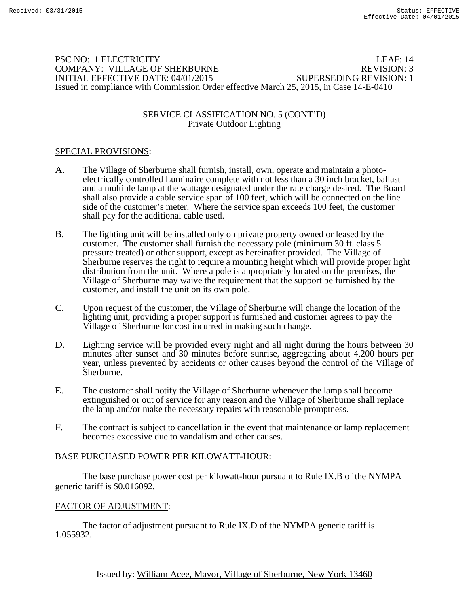## PSC NO: 1 ELECTRICITY LEAF: 14 COMPANY: VILLAGE OF SHERBURNE REVISION: 3 INITIAL EFFECTIVE DATE: 04/01/2015 SUPERSEDING REVISION: 1 Issued in compliance with Commission Order effective March 25, 2015, in Case 14-E-0410

#### SERVICE CLASSIFICATION NO. 5 (CONT'D) Private Outdoor Lighting

## SPECIAL PROVISIONS:

- A. The Village of Sherburne shall furnish, install, own, operate and maintain a photoelectrically controlled Luminaire complete with not less than a 30 inch bracket, ballast and a multiple lamp at the wattage designated under the rate charge desired. The Board shall also provide a cable service span of 100 feet, which will be connected on the line side of the customer's meter. Where the service span exceeds 100 feet, the customer shall pay for the additional cable used.
- B. The lighting unit will be installed only on private property owned or leased by the customer. The customer shall furnish the necessary pole (minimum 30 ft. class 5 pressure treated) or other support, except as hereinafter provided. The Village of Sherburne reserves the right to require a mounting height which will provide proper light distribution from the unit. Where a pole is appropriately located on the premises, the Village of Sherburne may waive the requirement that the support be furnished by the customer, and install the unit on its own pole.
- C. Upon request of the customer, the Village of Sherburne will change the location of the lighting unit, providing a proper support is furnished and customer agrees to pay the Village of Sherburne for cost incurred in making such change.
- D. Lighting service will be provided every night and all night during the hours between 30 minutes after sunset and 30 minutes before sunrise, aggregating about 4,200 hours per year, unless prevented by accidents or other causes beyond the control of the Village of Sherburne.
- E. The customer shall notify the Village of Sherburne whenever the lamp shall become extinguished or out of service for any reason and the Village of Sherburne shall replace the lamp and/or make the necessary repairs with reasonable promptness.
- F. The contract is subject to cancellation in the event that maintenance or lamp replacement becomes excessive due to vandalism and other causes.

## BASE PURCHASED POWER PER KILOWATT-HOUR:

 The base purchase power cost per kilowatt-hour pursuant to Rule IX.B of the NYMPA generic tariff is \$0.016092.

## FACTOR OF ADJUSTMENT: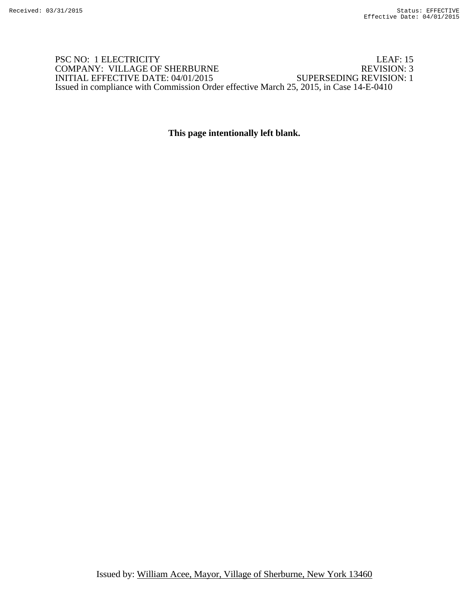## PSC NO: 1 ELECTRICITY LEAF: 15<br>
COMPANY: VILLAGE OF SHERBURNE REVISION: 3 COMPANY: VILLAGE OF SHERBURNE REVISION: 3<br>INITIAL EFFECTIVE DATE: 04/01/2015 SUPERSEDING REVISION: 1 INITIAL EFFECTIVE DATE: 04/01/2015 Issued in compliance with Commission Order effective March 25, 2015, in Case 14-E-0410

## **This page intentionally left blank.**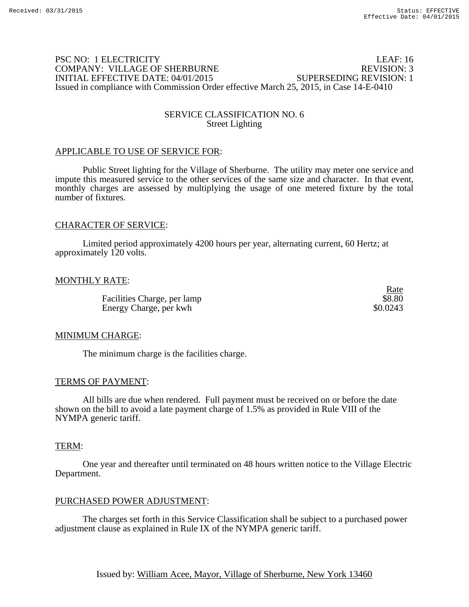## PSC NO: 1 ELECTRICITY LEAF: 16 COMPANY: VILLAGE OF SHERBURNE REVISION: 3 INITIAL EFFECTIVE DATE: 04/01/2015 SUPERSEDING REVISION: 1 Issued in compliance with Commission Order effective March 25, 2015, in Case 14-E-0410

### SERVICE CLASSIFICATION NO. 6 Street Lighting

#### APPLICABLE TO USE OF SERVICE FOR:

Public Street lighting for the Village of Sherburne. The utility may meter one service and impute this measured service to the other services of the same size and character. In that event, monthly charges are assessed by multiplying the usage of one metered fixture by the total number of fixtures.

#### CHARACTER OF SERVICE:

Limited period approximately 4200 hours per year, alternating current, 60 Hertz; at approximately 120 volts.

#### MONTHLY RATE:

Facilities Charge, per lamp  $$8.80$ Energy Charge, per kwh  $\frac{1}{2}$  80.0243

Rate

#### MINIMUM CHARGE:

The minimum charge is the facilities charge.

#### TERMS OF PAYMENT:

 All bills are due when rendered. Full payment must be received on or before the date shown on the bill to avoid a late payment charge of 1.5% as provided in Rule VIII of the NYMPA generic tariff.

#### TERM:

One year and thereafter until terminated on 48 hours written notice to the Village Electric Department.

#### PURCHASED POWER ADJUSTMENT:

The charges set forth in this Service Classification shall be subject to a purchased power adjustment clause as explained in Rule IX of the NYMPA generic tariff.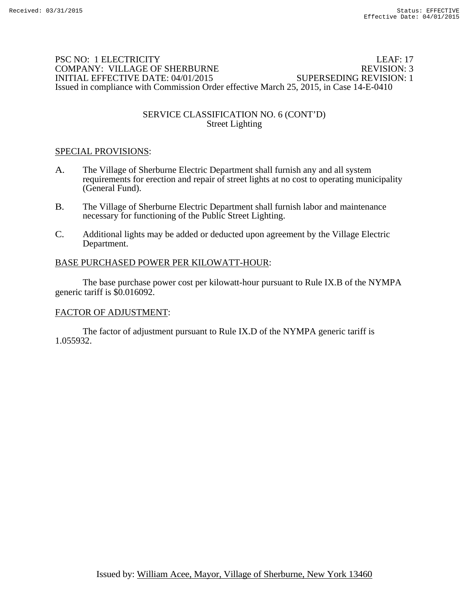## PSC NO: 1 ELECTRICITY LEAF: 17 COMPANY: VILLAGE OF SHERBURNE REVISION: 3 INITIAL EFFECTIVE DATE: 04/01/2015 SUPERSEDING REVISION: 1 Issued in compliance with Commission Order effective March 25, 2015, in Case 14-E-0410

## SERVICE CLASSIFICATION NO. 6 (CONT'D) Street Lighting

## SPECIAL PROVISIONS:

- A. The Village of Sherburne Electric Department shall furnish any and all system requirements for erection and repair of street lights at no cost to operating municipality (General Fund).
- B. The Village of Sherburne Electric Department shall furnish labor and maintenance necessary for functioning of the Public Street Lighting.
- C. Additional lights may be added or deducted upon agreement by the Village Electric Department.

## BASE PURCHASED POWER PER KILOWATT-HOUR:

 The base purchase power cost per kilowatt-hour pursuant to Rule IX.B of the NYMPA generic tariff is \$0.016092.

## FACTOR OF ADJUSTMENT: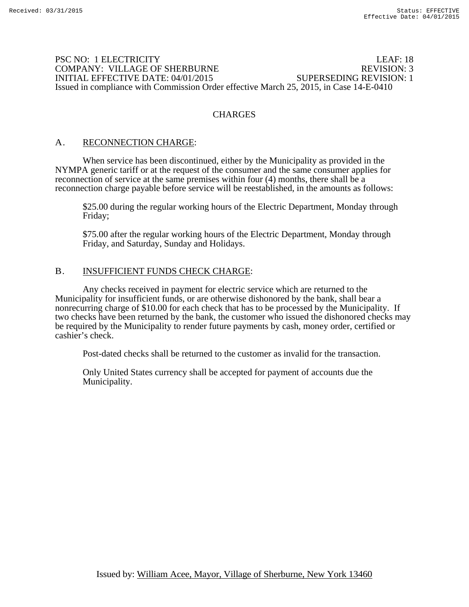### PSC NO: 1 ELECTRICITY LEAF: 18 COMPANY: VILLAGE OF SHERBURNE REVISION: 3 INITIAL EFFECTIVE DATE: 04/01/2015 SUPERSEDING REVISION: 1 Issued in compliance with Commission Order effective March 25, 2015, in Case 14-E-0410

## **CHARGES**

## A. RECONNECTION CHARGE:

When service has been discontinued, either by the Municipality as provided in the NYMPA generic tariff or at the request of the consumer and the same consumer applies for reconnection of service at the same premises within four (4) months, there shall be a reconnection charge payable before service will be reestablished, in the amounts as follows:

\$25.00 during the regular working hours of the Electric Department, Monday through Friday;

\$75.00 after the regular working hours of the Electric Department, Monday through Friday, and Saturday, Sunday and Holidays.

### B. INSUFFICIENT FUNDS CHECK CHARGE:

 Any checks received in payment for electric service which are returned to the Municipality for insufficient funds, or are otherwise dishonored by the bank, shall bear a nonrecurring charge of \$10.00 for each check that has to be processed by the Municipality. If two checks have been returned by the bank, the customer who issued the dishonored checks may be required by the Municipality to render future payments by cash, money order, certified or cashier's check.

Post-dated checks shall be returned to the customer as invalid for the transaction.

Only United States currency shall be accepted for payment of accounts due the Municipality.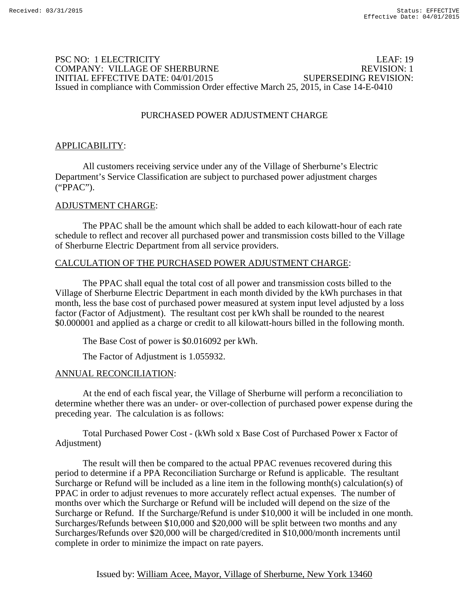## PSC NO: 1 ELECTRICITY LEAF: 19 COMPANY: VILLAGE OF SHERBURNE REVISION: 1 INITIAL EFFECTIVE DATE: 04/01/2015 SUPERSEDING REVISION: Issued in compliance with Commission Order effective March 25, 2015, in Case 14-E-0410

## PURCHASED POWER ADJUSTMENT CHARGE

## APPLICABILITY:

 All customers receiving service under any of the Village of Sherburne's Electric Department's Service Classification are subject to purchased power adjustment charges ("PPAC").

### ADJUSTMENT CHARGE:

 The PPAC shall be the amount which shall be added to each kilowatt-hour of each rate schedule to reflect and recover all purchased power and transmission costs billed to the Village of Sherburne Electric Department from all service providers.

### CALCULATION OF THE PURCHASED POWER ADJUSTMENT CHARGE:

 The PPAC shall equal the total cost of all power and transmission costs billed to the Village of Sherburne Electric Department in each month divided by the kWh purchases in that month, less the base cost of purchased power measured at system input level adjusted by a loss factor (Factor of Adjustment). The resultant cost per kWh shall be rounded to the nearest \$0.000001 and applied as a charge or credit to all kilowatt-hours billed in the following month.

The Base Cost of power is \$0.016092 per kWh.

The Factor of Adjustment is 1.055932.

#### ANNUAL RECONCILIATION:

 At the end of each fiscal year, the Village of Sherburne will perform a reconciliation to determine whether there was an under- or over-collection of purchased power expense during the preceding year. The calculation is as follows:

 Total Purchased Power Cost - (kWh sold x Base Cost of Purchased Power x Factor of Adjustment)

 The result will then be compared to the actual PPAC revenues recovered during this period to determine if a PPA Reconciliation Surcharge or Refund is applicable. The resultant Surcharge or Refund will be included as a line item in the following month(s) calculation(s) of PPAC in order to adjust revenues to more accurately reflect actual expenses. The number of months over which the Surcharge or Refund will be included will depend on the size of the Surcharge or Refund. If the Surcharge/Refund is under \$10,000 it will be included in one month. Surcharges/Refunds between \$10,000 and \$20,000 will be split between two months and any Surcharges/Refunds over \$20,000 will be charged/credited in \$10,000/month increments until complete in order to minimize the impact on rate payers.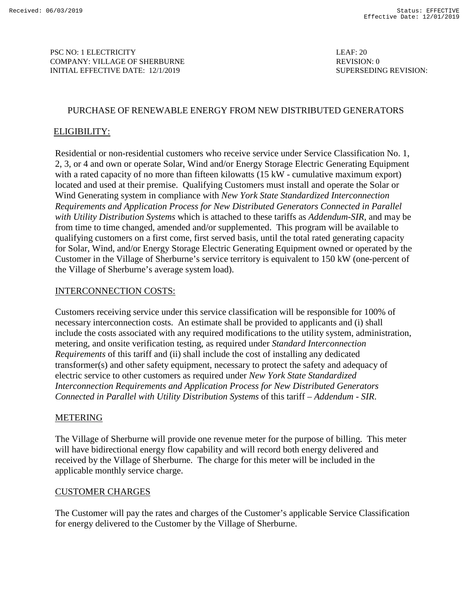PSC NO: 1 ELECTRICITY LEAF: 20 COMPANY: VILLAGE OF SHERBURNE AND COMPANY: 0 INITIAL EFFECTIVE DATE: 12/1/2019 SUPERSEDING REVISION:

### PURCHASE OF RENEWABLE ENERGY FROM NEW DISTRIBUTED GENERATORS

## ELIGIBILITY:

Residential or non-residential customers who receive service under Service Classification No. 1, 2, 3, or 4 and own or operate Solar, Wind and/or Energy Storage Electric Generating Equipment with a rated capacity of no more than fifteen kilowatts (15 kW - cumulative maximum export) located and used at their premise. Qualifying Customers must install and operate the Solar or Wind Generating system in compliance with *New York State Standardized Interconnection Requirements and Application Process for New Distributed Generators Connected in Parallel with Utility Distribution Systems* which is attached to these tariffs as *Addendum-SIR*, and may be from time to time changed, amended and/or supplemented. This program will be available to qualifying customers on a first come, first served basis, until the total rated generating capacity for Solar, Wind, and/or Energy Storage Electric Generating Equipment owned or operated by the Customer in the Village of Sherburne's service territory is equivalent to 150 kW (one-percent of the Village of Sherburne's average system load).

### INTERCONNECTION COSTS:

Customers receiving service under this service classification will be responsible for 100% of necessary interconnection costs. An estimate shall be provided to applicants and (i) shall include the costs associated with any required modifications to the utility system, administration, metering, and onsite verification testing, as required under *Standard Interconnection Requirements* of this tariff and (ii) shall include the cost of installing any dedicated transformer(s) and other safety equipment, necessary to protect the safety and adequacy of electric service to other customers as required under *New York State Standardized Interconnection Requirements and Application Process for New Distributed Generators Connected in Parallel with Utility Distribution Systems* of this tariff – *Addendum - SIR*.

## METERING

The Village of Sherburne will provide one revenue meter for the purpose of billing. This meter will have bidirectional energy flow capability and will record both energy delivered and received by the Village of Sherburne. The charge for this meter will be included in the applicable monthly service charge.

## CUSTOMER CHARGES

The Customer will pay the rates and charges of the Customer's applicable Service Classification for energy delivered to the Customer by the Village of Sherburne.